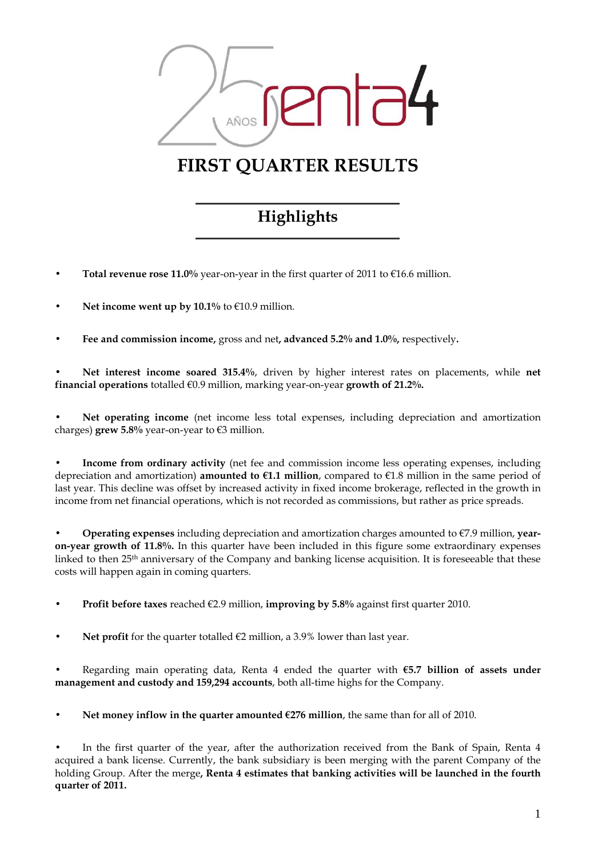

# FIRST QUARTER RESULTS

# Highlights

- Total revenue rose 11.0% year-on-year in the first quarter of 2011 to  $\epsilon$ 16.6 million.
- Net income went up by  $10.1\%$  to  $\epsilon$ 10.9 million.
- Fee and commission income, gross and net, advanced 5.2% and 1.0%, respectively.

Net interest income soared 315.4%, driven by higher interest rates on placements, while net financial operations totalled  $\epsilon$ 0.9 million, marking year-on-year growth of 21.2%.

Net operating income (net income less total expenses, including depreciation and amortization charges) grew 5.8% year-on-year to  $\epsilon$ 3 million.

• Income from ordinary activity (net fee and commission income less operating expenses, including depreciation and amortization) **amounted to**  $\epsilon$ **1.1 million**, compared to  $\epsilon$ 1.8 million in the same period of last year. This decline was offset by increased activity in fixed income brokerage, reflected in the growth in income from net financial operations, which is not recorded as commissions, but rather as price spreads.

**Operating expenses** including depreciation and amortization charges amounted to  $\epsilon$ 7.9 million, yearon-year growth of 11.8%. In this quarter have been included in this figure some extraordinary expenses linked to then 25th anniversary of the Company and banking license acquisition. It is foreseeable that these costs will happen again in coming quarters.

**Profit before taxes** reached  $\epsilon$ 2.9 million, **improving by 5.8%** against first quarter 2010.

Net profit for the quarter totalled  $\epsilon$ 2 million, a 3.9% lower than last year.

Regarding main operating data, Renta 4 ended the quarter with  $65.7$  billion of assets under management and custody and 159,294 accounts, both all-time highs for the Company.

Net money inflow in the quarter amounted  $E276$  million, the same than for all of 2010.

In the first quarter of the year, after the authorization received from the Bank of Spain, Renta 4 acquired a bank license. Currently, the bank subsidiary is been merging with the parent Company of the holding Group. After the merge, Renta 4 estimates that banking activities will be launched in the fourth quarter of 2011.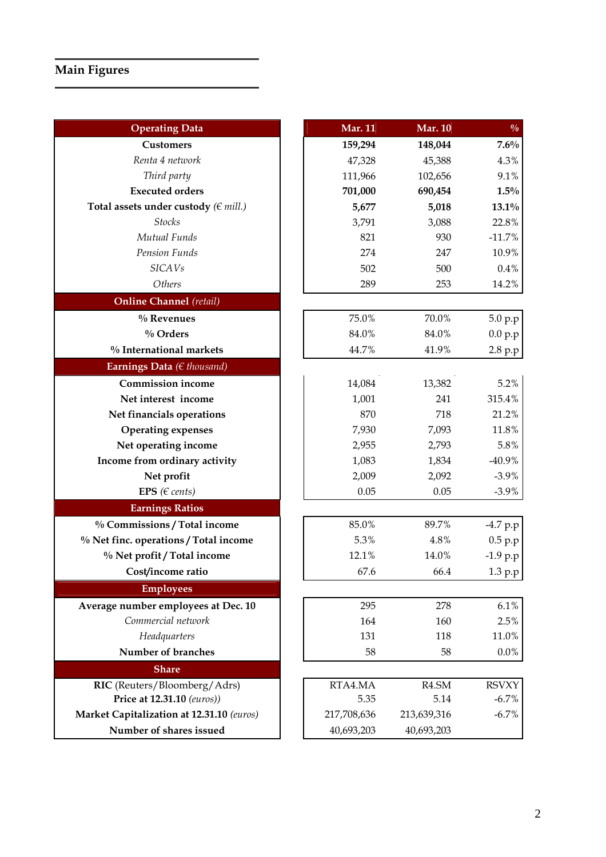| <b>Operating Data</b>                     | <b>Mar. 11</b> | <b>Mar. 10</b> | $\frac{0}{0}$ |
|-------------------------------------------|----------------|----------------|---------------|
| <b>Customers</b>                          | 159,294        | 148,044        | 7.6%          |
| Renta 4 network                           | 47,328         | 45,388         | 4.3%          |
| Third party                               | 111,966        | 102,656        | 9.1%          |
| <b>Executed orders</b>                    | 701,000        | 690,454        | $1.5\%$       |
| Total assets under custody ( $\in$ mill.) | 5,677          | 5,018          | $13.1\%$      |
| <b>Stocks</b>                             | 3,791          | 3,088          | 22.8%         |
| Mutual Funds                              | 821            | 930            | $-11.7%$      |
| Pension Funds                             | 274            | 247            |               |
| <b>SICAVs</b>                             | 502            | 500            | 0.4%          |
| Others                                    | 289            | 253            | 14.2%         |
| <b>Online Channel</b> (retail)            |                |                |               |
| $%$ Revenues                              | 75.0%          | 70.0%          | 5.0 p.p       |
| $\%$ Orders                               | 84.0%          | 84.0%          | 0.0 p.p       |
| % International markets                   | 44.7%          | 41.9%          | 2.8 p.p       |
| Earnings Data ( $\in$ thousand)           |                |                |               |
| <b>Commission income</b>                  | 14,084         | 13,382         | 5.2%          |
| Net interest income                       | 1,001          | 241            | 315.4%        |
| Net financials operations                 | 870            | 718            | 21.2%         |
| <b>Operating expenses</b>                 | 7,930          | 7,093          | 11.8%         |
| Net operating income                      | 2,955          | 2,793          | 5.8%          |
| Income from ordinary activity             | 1,083          | 1,834          | $-40.9%$      |
| Net profit                                | 2,009          | 2,092          | $-3.9%$       |
| EPS ( $\in$ cents)                        | 0.05           | 0.05           | $-3.9\%$      |
| <b>Earnings Ratios</b>                    |                |                |               |
| % Commissions / Total income              | 85.0%          | 89.7%          | -4.7 p.p      |
| % Net finc. operations / Total income     | 5.3%           | 4.8%           | 0.5 p.p       |
| % Net profit / Total income               | 12.1%          | 14.0%          | $-1.9 p.p$    |
| Cost/income ratio                         | 67.6           | 66.4           | 1.3 p.p       |
| <b>Employees</b>                          |                |                |               |
| Average number employees at Dec. 10       | 295            | 278            | 6.1%          |
| Commercial network                        | 164            | 160            | 2.5%          |
| Headquarters                              | 131            | 118            | 11.0%         |
| Number of branches                        | 58             | 58             | $0.0\%$       |
| <b>Share</b>                              |                |                |               |
| RIC (Reuters/Bloomberg/Adrs)              | RTA4.MA        | R4.SM          | <b>RSVXY</b>  |
| Price at 12.31.10 (euros))                | 5.35           | 5.14           | $-6.7%$       |
| Market Capitalization at 12.31.10 (euros) | 217,708,636    | 213,639,316    | $-6.7%$       |
| Number of shares issued                   | 40,693,203     | 40,693,203     |               |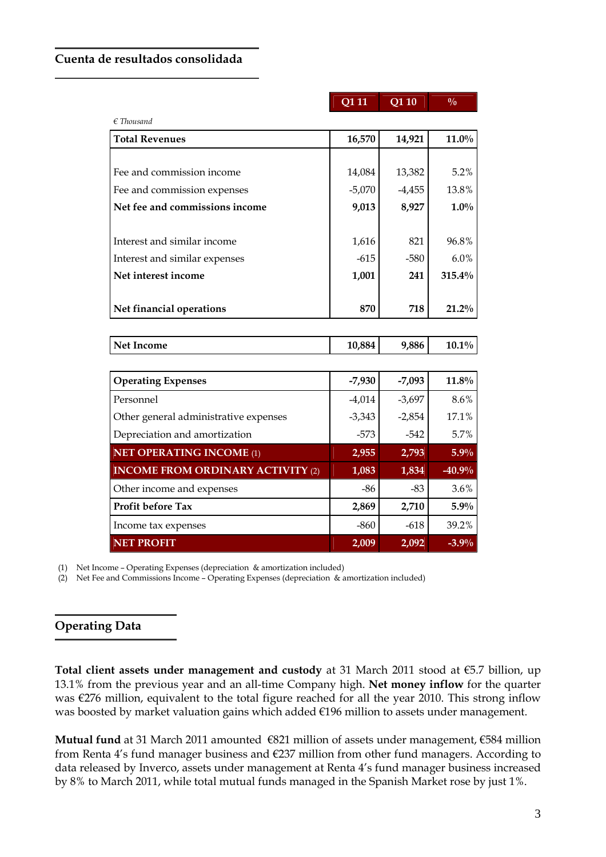#### Cuenta de resultados consolidada

|                                          | Q1 11    | Q1 10    | $\frac{0}{0}$ |
|------------------------------------------|----------|----------|---------------|
| $\epsilon$ Thousand                      |          |          |               |
| <b>Total Revenues</b>                    | 16,570   | 14,921   | $11.0\%$      |
|                                          |          |          |               |
| Fee and commission income                | 14,084   | 13,382   | 5.2%          |
| Fee and commission expenses              | $-5,070$ | $-4,455$ | 13.8%         |
| Net fee and commissions income           | 9,013    | 8,927    | $1.0\%$       |
| Interest and similar income              | 1,616    | 821      | 96.8%         |
| Interest and similar expenses            | $-615$   | $-580$   | 6.0%          |
| Net interest income                      | 1,001    | 241      | 315.4%        |
| Net financial operations                 | 870      | 718      | $21.2\%$      |
|                                          |          |          |               |
| <b>Net Income</b>                        | 10,884   | 9,886    | $10.1\%$      |
| <b>Operating Expenses</b>                | $-7,930$ | $-7,093$ | $11.8\%$      |
| Personnel                                | $-4,014$ | $-3,697$ | 8.6%          |
| Other general administrative expenses    | $-3,343$ | $-2,854$ | 17.1%         |
| Depreciation and amortization            | $-573$   | $-542$   | 5.7%          |
| <b>NET OPERATING INCOME (1)</b>          | 2,955    | 2,793    | 5.9%          |
| <b>INCOME FROM ORDINARY ACTIVITY (2)</b> | 1,083    | 1,834    | $-40.9%$      |
| Other income and expenses                | -86      | $-83$    | 3.6%          |
| <b>Profit before Tax</b>                 | 2,869    | 2,710    | $5.9\%$       |
| Income tax expenses                      | $-860$   | $-618$   | 39.2%         |
| <b>NET PROFIT</b>                        | 2,009    | 2,092    | $-3.9%$       |

(1) Net Income – Operating Expenses (depreciation & amortization included)

(2) Net Fee and Commissions Income – Operating Expenses (depreciation & amortization included)

## Operating Data

Total client assets under management and custody at 31 March 2011 stood at €5.7 billion, up 13.1% from the previous year and an all-time Company high. Net money inflow for the quarter was €276 million, equivalent to the total figure reached for all the year 2010. This strong inflow was boosted by market valuation gains which added €196 million to assets under management.

Mutual fund at 31 March 2011 amounted €821 million of assets under management, €584 million from Renta 4's fund manager business and €237 million from other fund managers. According to data released by Inverco, assets under management at Renta 4's fund manager business increased by 8% to March 2011, while total mutual funds managed in the Spanish Market rose by just 1%.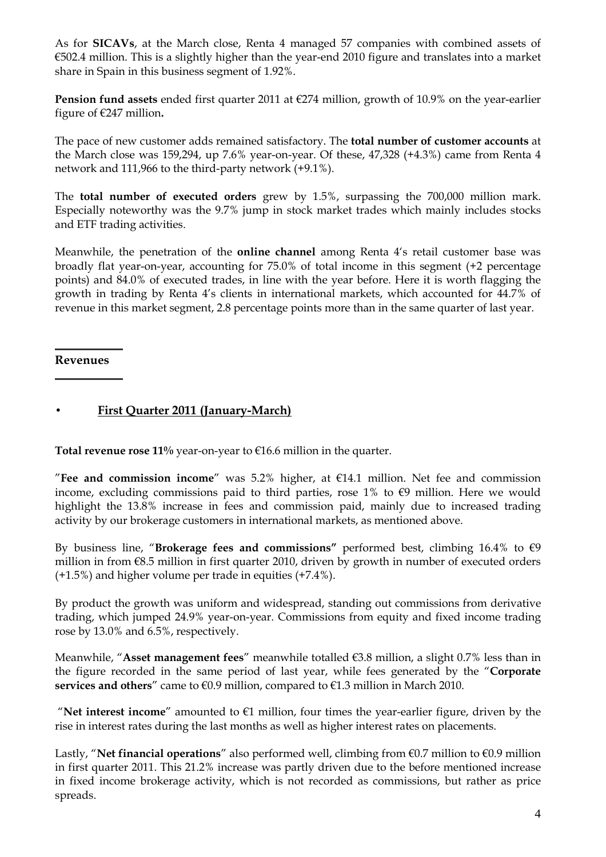As for SICAVs, at the March close, Renta 4 managed 57 companies with combined assets of €502.4 million. This is a slightly higher than the year-end 2010 figure and translates into a market share in Spain in this business segment of 1.92%.

**Pension fund assets** ended first quarter 2011 at  $\epsilon$ 274 million, growth of 10.9% on the year-earlier figure of  $\epsilon$ 247 million.

The pace of new customer adds remained satisfactory. The total number of customer accounts at the March close was 159,294, up 7.6% year-on-year. Of these, 47,328 (+4.3%) came from Renta 4 network and 111,966 to the third-party network (+9.1%).

The total number of executed orders grew by 1.5%, surpassing the 700,000 million mark. Especially noteworthy was the 9.7% jump in stock market trades which mainly includes stocks and ETF trading activities.

Meanwhile, the penetration of the online channel among Renta 4's retail customer base was broadly flat year-on-year, accounting for 75.0% of total income in this segment (+2 percentage points) and 84.0% of executed trades, in line with the year before. Here it is worth flagging the growth in trading by Renta 4's clients in international markets, which accounted for 44.7% of revenue in this market segment, 2.8 percentage points more than in the same quarter of last year.

#### Revenues

### • First Quarter 2011 (January-March)

Total revenue rose  $11\%$  year-on-year to  $€16.6$  million in the quarter.

"Fee and commission income" was 5.2% higher, at  $E14.1$  million. Net fee and commission income, excluding commissions paid to third parties, rose  $1\%$  to  $\epsilon$ 9 million. Here we would highlight the 13.8% increase in fees and commission paid, mainly due to increased trading activity by our brokerage customers in international markets, as mentioned above.

By business line, "Brokerage fees and commissions" performed best, climbing 16.4% to  $\epsilon$ 9 million in from €8.5 million in first quarter 2010, driven by growth in number of executed orders (+1.5%) and higher volume per trade in equities (+7.4%).

By product the growth was uniform and widespread, standing out commissions from derivative trading, which jumped 24.9% year-on-year. Commissions from equity and fixed income trading rose by 13.0% and 6.5%, respectively.

Meanwhile, "Asset management fees" meanwhile totalled €3.8 million, a slight 0.7% less than in the figure recorded in the same period of last year, while fees generated by the "Corporate services and others" came to  $\epsilon 0.9$  million, compared to  $\epsilon 1.3$  million in March 2010.

"Net interest income" amounted to  $E1$  million, four times the year-earlier figure, driven by the rise in interest rates during the last months as well as higher interest rates on placements.

Lastly, "Net financial operations" also performed well, climbing from  $\epsilon$ 0.7 million to  $\epsilon$ 0.9 million in first quarter 2011. This 21.2% increase was partly driven due to the before mentioned increase in fixed income brokerage activity, which is not recorded as commissions, but rather as price spreads.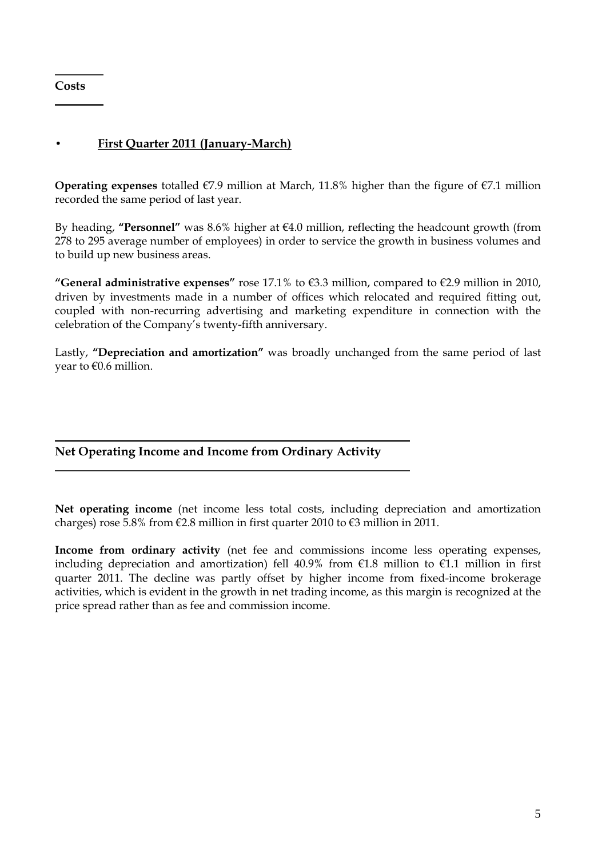**Costs** 

### • First Quarter 2011 (January-March)

Operating expenses totalled  $\epsilon$ 7.9 million at March, 11.8% higher than the figure of  $\epsilon$ 7.1 million recorded the same period of last year.

By heading, "Personnel" was 8.6% higher at  $\epsilon$ 4.0 million, reflecting the headcount growth (from 278 to 295 average number of employees) in order to service the growth in business volumes and to build up new business areas.

"General administrative expenses" rose 17.1% to  $\epsilon$ 3.3 million, compared to  $\epsilon$ 2.9 million in 2010, driven by investments made in a number of offices which relocated and required fitting out, coupled with non-recurring advertising and marketing expenditure in connection with the celebration of the Company's twenty-fifth anniversary.

Lastly, "Depreciation and amortization" was broadly unchanged from the same period of last year to €0.6 million.

### Net Operating Income and Income from Ordinary Activity

Net operating income (net income less total costs, including depreciation and amortization charges) rose 5.8% from  $\epsilon$ 2.8 million in first quarter 2010 to  $\epsilon$ 3 million in 2011.

Income from ordinary activity (net fee and commissions income less operating expenses, including depreciation and amortization) fell 40.9% from €1.8 million to €1.1 million in first quarter 2011. The decline was partly offset by higher income from fixed-income brokerage activities, which is evident in the growth in net trading income, as this margin is recognized at the price spread rather than as fee and commission income.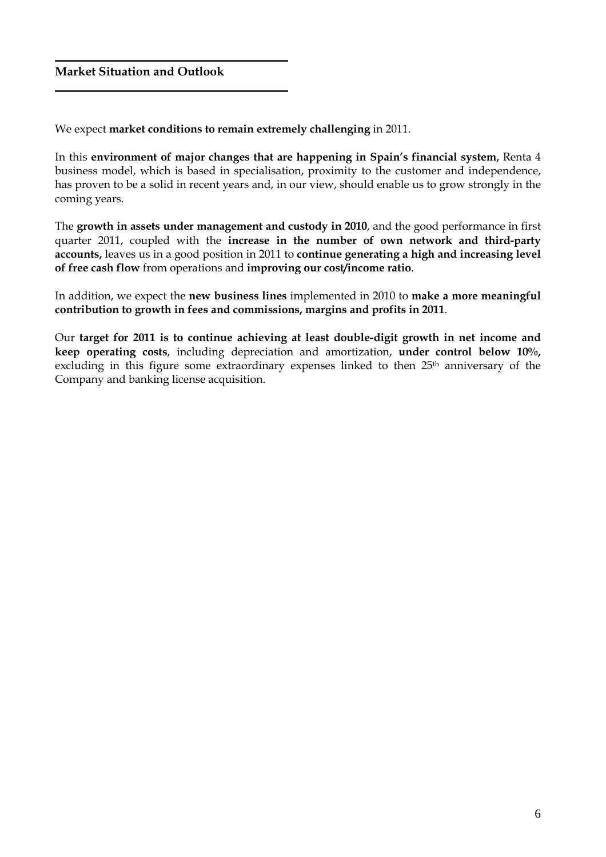## Market Situation and Outlook

We expect market conditions to remain extremely challenging in 2011.

In this environment of major changes that are happening in Spain's financial system, Renta 4 business model, which is based in specialisation, proximity to the customer and independence, has proven to be a solid in recent years and, in our view, should enable us to grow strongly in the coming years.

The growth in assets under management and custody in 2010, and the good performance in first quarter 2011, coupled with the increase in the number of own network and third-party accounts, leaves us in a good position in 2011 to continue generating a high and increasing level of free cash flow from operations and improving our cost/income ratio.

In addition, we expect the new business lines implemented in 2010 to make a more meaningful contribution to growth in fees and commissions, margins and profits in 2011.

Our target for 2011 is to continue achieving at least double-digit growth in net income and keep operating costs, including depreciation and amortization, under control below 10%, excluding in this figure some extraordinary expenses linked to then 25<sup>th</sup> anniversary of the Company and banking license acquisition.